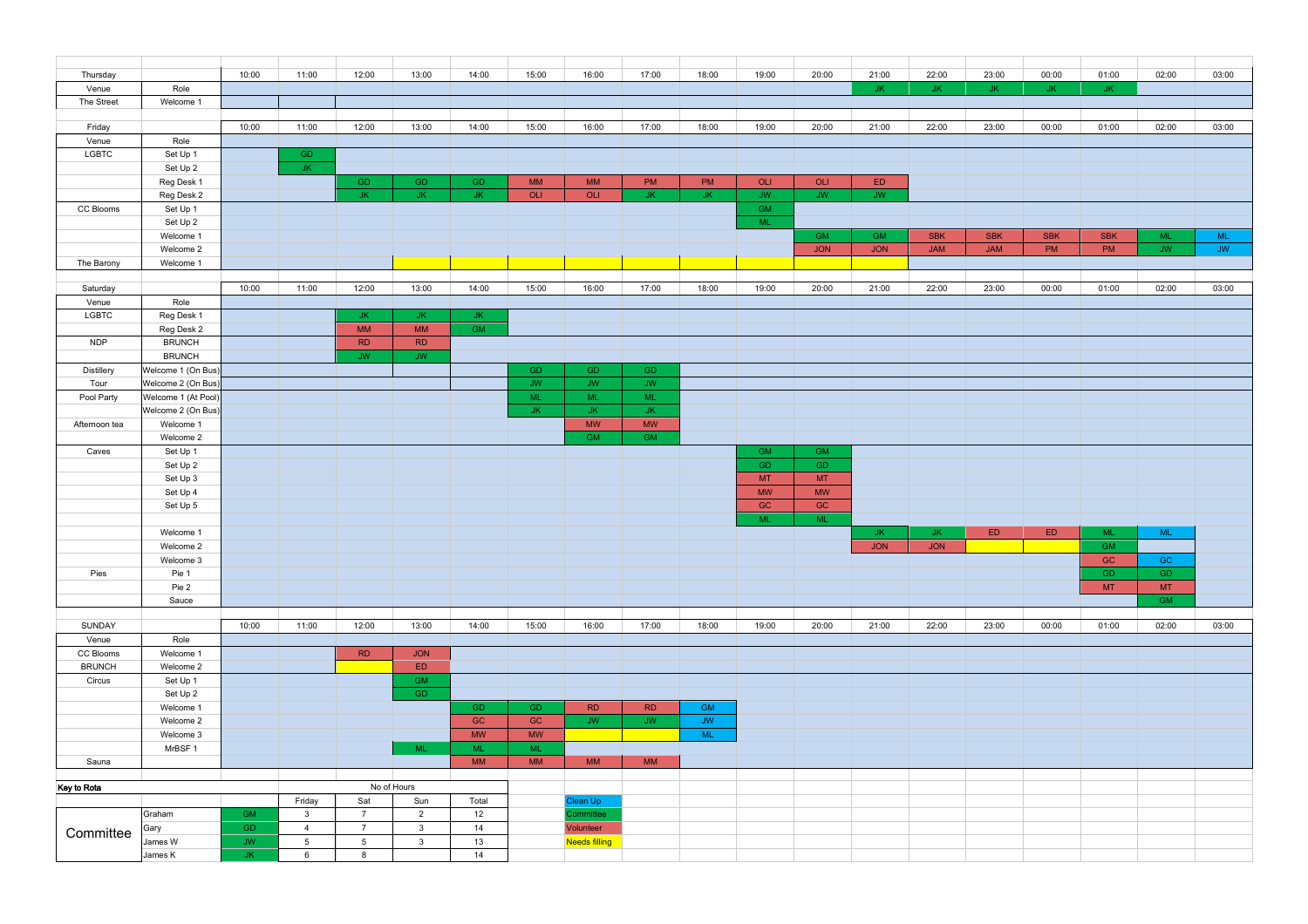| Thursday      |                     | 10:00     | 11:00           | 12:00           | 13:00          | 14:00       | 15:00     | 16:00                  | 17:00                  | 18:00                  | 19:00           | 20:00           | 21:00                 | 22:00                 | 23:00      | 00:00      | 01:00      | 02:00     | 03:00                  |
|---------------|---------------------|-----------|-----------------|-----------------|----------------|-------------|-----------|------------------------|------------------------|------------------------|-----------------|-----------------|-----------------------|-----------------------|------------|------------|------------|-----------|------------------------|
| Venue         | Role                |           |                 |                 |                |             |           |                        |                        |                        |                 |                 | .JK                   | JK.                   | JК         | JK.        | ыĸ         |           |                        |
| The Street    | Welcome 1           |           |                 |                 |                |             |           |                        |                        |                        |                 |                 |                       |                       |            |            |            |           |                        |
|               |                     |           |                 |                 |                |             |           |                        |                        |                        |                 |                 |                       |                       |            |            |            |           |                        |
| Friday        |                     | 10:00     | 11:00           | 12:00           | 13:00          | 14:00       | 15:00     | 16:00                  | 17:00                  | 18:00                  | 19:00           | 20:00           | 21:00                 | 22:00                 | 23:00      | 00:00      | 01:00      | 02:00     | 03:00                  |
| Venue         | Role                |           |                 |                 |                |             |           |                        |                        |                        |                 |                 |                       |                       |            |            |            |           |                        |
| LGBTC         | Set Up 1            |           | <b>GD</b>       |                 |                |             |           |                        |                        |                        |                 |                 |                       |                       |            |            |            |           |                        |
|               | Set Up 2            |           | JK.             |                 |                |             |           |                        |                        |                        |                 |                 |                       |                       |            |            |            |           |                        |
|               | Reg Desk 1          |           |                 | GD.             | GD             | GD          | <b>MM</b> | <b>MM</b>              | PM                     | PM                     | OLI             | OLI             | ED                    |                       |            |            |            |           |                        |
|               | Reg Desk 2          |           |                 | JK.             | JK.            | JK.         | OLI       | OLI                    | <b>JK</b>              | JK.                    | <b>JW</b>       | <b>JW</b>       | <b>JW</b>             |                       |            |            |            |           |                        |
| CC Blooms     | Set Up 1            |           |                 |                 |                |             |           |                        |                        |                        | <b>GM</b>       |                 |                       |                       |            |            |            |           |                        |
|               | Set Up 2            |           |                 |                 |                |             |           |                        |                        |                        | <b>ML</b>       |                 |                       |                       |            |            |            |           |                        |
|               | Welcome 1           |           |                 |                 |                |             |           |                        |                        |                        |                 | <b>GM</b>       | <b>GM</b>             | <b>SBK</b>            | <b>SBK</b> | <b>SBK</b> | <b>SBK</b> | <b>ML</b> | <b>ML</b>              |
|               | Welcome 2           |           |                 |                 |                |             |           |                        |                        |                        |                 | <b>JON</b>      | JON                   | <b>JAM</b>            | <b>JAM</b> | PM         | PM         | <b>JW</b> | $\mathsf{J}\mathsf{W}$ |
| The Barony    | Welcome 1           |           |                 |                 |                |             |           |                        |                        |                        |                 |                 |                       |                       |            |            |            |           |                        |
|               |                     |           |                 |                 |                |             |           |                        |                        |                        |                 |                 |                       |                       |            |            |            |           |                        |
| Saturday      |                     | 10:00     | 11:00           | 12:00           | 13:00          | 14:00       | 15:00     | 16:00                  | 17:00                  | 18:00                  | 19:00           | 20:00           | 21:00                 | 22:00                 | 23:00      | 00:00      | 01:00      | 02:00     | 03:00                  |
| Venue         | Role                |           |                 |                 |                |             |           |                        |                        |                        |                 |                 |                       |                       |            |            |            |           |                        |
| LGBTC         | Reg Desk 1          |           |                 | JK.             | JK.            | JK.         |           |                        |                        |                        |                 |                 |                       |                       |            |            |            |           |                        |
|               | Reg Desk 2          |           |                 | <b>MM</b>       | MM             | <b>GM</b>   |           |                        |                        |                        |                 |                 |                       |                       |            |            |            |           |                        |
| <b>NDP</b>    | <b>BRUNCH</b>       |           |                 | <b>RD</b>       | <b>RD</b>      |             |           |                        |                        |                        |                 |                 |                       |                       |            |            |            |           |                        |
|               | <b>BRUNCH</b>       |           |                 | <b>JW</b>       | <b>JW</b>      |             |           |                        |                        |                        |                 |                 |                       |                       |            |            |            |           |                        |
| Distillery    | Welcome 1 (On Bus)  |           |                 |                 |                |             | GD.       | <b>GD</b>              | <b>GD</b>              |                        |                 |                 |                       |                       |            |            |            |           |                        |
| Tour          | Welcome 2 (On Bus)  |           |                 |                 |                |             | <b>JW</b> | $\mathsf{J}\mathsf{W}$ | <b>JW</b>              |                        |                 |                 |                       |                       |            |            |            |           |                        |
|               |                     |           |                 |                 |                |             | <b>ML</b> | <b>ML</b>              | <b>ML</b>              |                        |                 |                 |                       |                       |            |            |            |           |                        |
| Pool Party    | Welcome 1 (At Pool) |           |                 |                 |                |             |           |                        |                        |                        |                 |                 |                       |                       |            |            |            |           |                        |
|               | Welcome 2 (On Bus)  |           |                 |                 |                |             | JK.       | JK.                    | JK.                    |                        |                 |                 |                       |                       |            |            |            |           |                        |
| Afternoon tea | Welcome 1           |           |                 |                 |                |             |           | <b>MW</b>              | <b>MW</b>              |                        |                 |                 |                       |                       |            |            |            |           |                        |
|               | Welcome 2           |           |                 |                 |                |             |           | <b>GM</b>              | <b>GM</b>              |                        |                 |                 |                       |                       |            |            |            |           |                        |
| Caves         | Set Up 1            |           |                 |                 |                |             |           |                        |                        |                        | <b>GM</b>       | <b>GM</b>       |                       |                       |            |            |            |           |                        |
|               | Set Up 2            |           |                 |                 |                |             |           |                        |                        |                        | GD.             | GD              |                       |                       |            |            |            |           |                        |
|               | Set Up 3            |           |                 |                 |                |             |           |                        |                        |                        | <b>MT</b>       | <b>MT</b>       |                       |                       |            |            |            |           |                        |
|               | Set Up 4            |           |                 |                 |                |             |           |                        |                        |                        | $\textsf{MW}{}$ | $\textsf{MW}{}$ |                       |                       |            |            |            |           |                        |
|               | Set Up 5            |           |                 |                 |                |             |           |                        |                        |                        | $\mathsf{GC}$   | GC              |                       |                       |            |            |            |           |                        |
|               |                     |           |                 |                 |                |             |           |                        |                        |                        | <b>ML</b>       | <b>ML</b>       |                       |                       |            |            |            |           |                        |
|               | Welcome 1           |           |                 |                 |                |             |           |                        |                        |                        |                 |                 | JK.                   | JK                    | ED         | ${\sf ED}$ | ML         | <b>ML</b> |                        |
|               | Welcome 2           |           |                 |                 |                |             |           |                        |                        |                        |                 |                 | $\mathsf{JON}\xspace$ | $\mathsf{JON}\xspace$ |            |            | <b>GM</b>  |           |                        |
|               | Welcome 3           |           |                 |                 |                |             |           |                        |                        |                        |                 |                 |                       |                       |            |            | GC         | GC        |                        |
| Pies          | Pie 1               |           |                 |                 |                |             |           |                        |                        |                        |                 |                 |                       |                       |            |            | GD         | GD        |                        |
|               | Pie 2               |           |                 |                 |                |             |           |                        |                        |                        |                 |                 |                       |                       |            |            | MT         | <b>MT</b> |                        |
|               | Sauce               |           |                 |                 |                |             |           |                        |                        |                        |                 |                 |                       |                       |            |            |            | <b>GM</b> |                        |
|               |                     |           |                 |                 |                |             |           |                        |                        |                        |                 |                 |                       |                       |            |            |            |           |                        |
| SUNDAY        |                     | 10:00     | 11:00           | 12:00           | 13:00          | 14:00       | 15:00     | 16:00                  | 17:00                  | 18:00                  | 19:00           | 20:00           | 21:00                 | 22:00                 | 23:00      | 00:00      | 01:00      | 02:00     | 03:00                  |
| Venue         | Role                |           |                 |                 |                |             |           |                        |                        |                        |                 |                 |                       |                       |            |            |            |           |                        |
| CC Blooms     | Welcome 1           |           |                 | RD              | <b>JON</b>     |             |           |                        |                        |                        |                 |                 |                       |                       |            |            |            |           |                        |
| <b>BRUNCH</b> | Welcome 2           |           |                 |                 | ED             |             |           |                        |                        |                        |                 |                 |                       |                       |            |            |            |           |                        |
| Circus        | Set Up 1            |           |                 |                 | <b>GM</b>      |             |           |                        |                        |                        |                 |                 |                       |                       |            |            |            |           |                        |
|               | Set Up 2            |           |                 |                 | GD.            |             |           |                        |                        |                        |                 |                 |                       |                       |            |            |            |           |                        |
|               | Welcome 1           |           |                 |                 |                | GD          | GD        | RD                     | $\mathsf{R}\mathsf{D}$ | GM                     |                 |                 |                       |                       |            |            |            |           |                        |
|               | Welcome 2           |           |                 |                 |                | $_{\rm GC}$ | GC        | $\mathsf{J}\mathsf{W}$ | $\mathsf{J}\mathsf{W}$ | $\mathsf{J}\mathsf{W}$ |                 |                 |                       |                       |            |            |            |           |                        |
|               | Welcome 3           |           |                 |                 |                | <b>MW</b>   | <b>MW</b> |                        |                        | <b>ML</b>              |                 |                 |                       |                       |            |            |            |           |                        |
|               | MrBSF 1             |           |                 |                 | ML             | <b>ML</b>   | <b>ML</b> |                        |                        |                        |                 |                 |                       |                       |            |            |            |           |                        |
| Sauna         |                     |           |                 |                 |                | <b>MM</b>   | MM        | <b>MM</b>              | <b>MM</b>              |                        |                 |                 |                       |                       |            |            |            |           |                        |
|               |                     |           |                 |                 |                |             |           |                        |                        |                        |                 |                 |                       |                       |            |            |            |           |                        |
| Key to Rota   |                     |           | No of Hours     |                 |                |             |           |                        |                        |                        |                 |                 |                       |                       |            |            |            |           |                        |
|               |                     |           | Friday          | Sat             | Sun            | Total       |           | Clean Up               |                        |                        |                 |                 |                       |                       |            |            |            |           |                        |
| Committee     | Graham              | <b>GM</b> | $\mathbf{3}$    | $\overline{7}$  | $\overline{2}$ | 12          |           | ommittee               |                        |                        |                 |                 |                       |                       |            |            |            |           |                        |
|               | Gary                | <b>GD</b> | $\overline{4}$  | $\overline{7}$  | $\mathbf{3}$   | 14          |           | <b>Volunteer</b>       |                        |                        |                 |                 |                       |                       |            |            |            |           |                        |
|               | James W             | <b>JW</b> | $5\phantom{.0}$ | $5\overline{5}$ | $\mathbf{3}$   | 13          |           | <b>Needs filling</b>   |                        |                        |                 |                 |                       |                       |            |            |            |           |                        |
|               | James K             | JK.       | 6               | 8               |                | 14          |           |                        |                        |                        |                 |                 |                       |                       |            |            |            |           |                        |